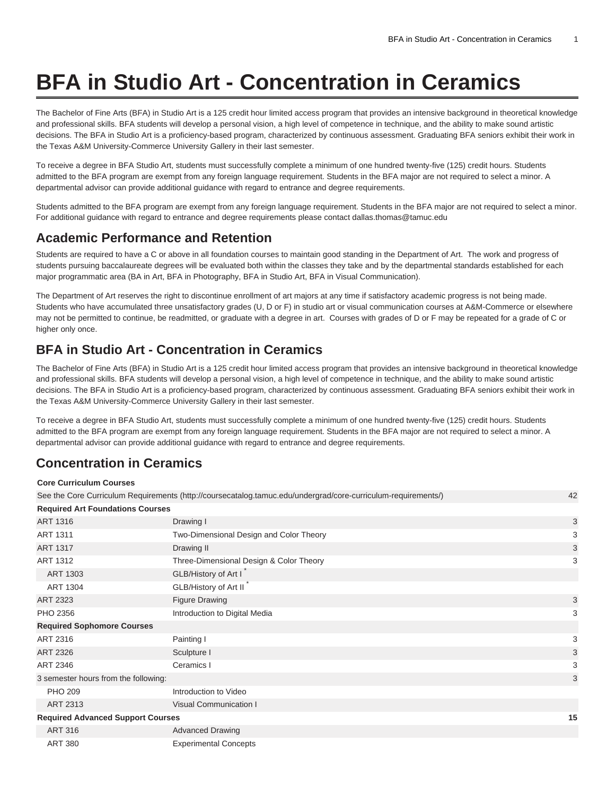# **BFA in Studio Art - Concentration in Ceramics**

The Bachelor of Fine Arts (BFA) in Studio Art is a 125 credit hour limited access program that provides an intensive background in theoretical knowledge and professional skills. BFA students will develop a personal vision, a high level of competence in technique, and the ability to make sound artistic decisions. The BFA in Studio Art is a proficiency-based program, characterized by continuous assessment. Graduating BFA seniors exhibit their work in the Texas A&M University-Commerce University Gallery in their last semester.

To receive a degree in BFA Studio Art, students must successfully complete a minimum of one hundred twenty-five (125) credit hours. Students admitted to the BFA program are exempt from any foreign language requirement. Students in the BFA major are not required to select a minor. A departmental advisor can provide additional guidance with regard to entrance and degree requirements.

Students admitted to the BFA program are exempt from any foreign language requirement. Students in the BFA major are not required to select a minor. For additional guidance with regard to entrance and degree requirements please contact [dallas.thomas@tamuc.edu](mailto:dallas.thomas@tamuc.edu)

#### **Academic Performance and Retention**

Students are required to have a C or above in all foundation courses to maintain good standing in the Department of Art. The work and progress of students pursuing baccalaureate degrees will be evaluated both within the classes they take and by the departmental standards established for each major programmatic area (BA in Art, BFA in Photography, BFA in Studio Art, BFA in Visual Communication).

The Department of Art reserves the right to discontinue enrollment of art majors at any time if satisfactory academic progress is not being made. Students who have accumulated three unsatisfactory grades (U, D or F) in studio art or visual communication courses at A&M-Commerce or elsewhere may not be permitted to continue, be readmitted, or graduate with a degree in art. Courses with grades of D or F may be repeated for a grade of C or higher only once.

### **BFA in Studio Art - Concentration in Ceramics**

The Bachelor of Fine Arts (BFA) in Studio Art is a 125 credit hour limited access program that provides an intensive background in theoretical knowledge and professional skills. BFA students will develop a personal vision, a high level of competence in technique, and the ability to make sound artistic decisions. The BFA in Studio Art is a proficiency-based program, characterized by continuous assessment. Graduating BFA seniors exhibit their work in the Texas A&M University-Commerce University Gallery in their last semester.

To receive a degree in BFA Studio Art, students must successfully complete a minimum of one hundred twenty-five (125) credit hours. Students admitted to the BFA program are exempt from any foreign language requirement. Students in the BFA major are not required to select a minor. A departmental advisor can provide additional guidance with regard to entrance and degree requirements.

## **Concentration in Ceramics**

#### **Core Curriculum Courses**

| See the Core Curriculum Requirements (http://coursecatalog.tamuc.edu/undergrad/core-curriculum-requirements/) |                                         |   |
|---------------------------------------------------------------------------------------------------------------|-----------------------------------------|---|
| <b>Required Art Foundations Courses</b>                                                                       |                                         |   |
| <b>ART 1316</b>                                                                                               | Drawing I                               | 3 |
| <b>ART 1311</b>                                                                                               | Two-Dimensional Design and Color Theory | 3 |
| <b>ART 1317</b>                                                                                               | Drawing II                              | 3 |
| ART 1312                                                                                                      | Three-Dimensional Design & Color Theory | 3 |
| ART 1303                                                                                                      | GLB/History of Art I                    |   |
| <b>ART 1304</b>                                                                                               | GLB/History of Art II                   |   |
| <b>ART 2323</b>                                                                                               | <b>Figure Drawing</b>                   | 3 |
| PHO 2356                                                                                                      | Introduction to Digital Media           | 3 |
| <b>Required Sophomore Courses</b>                                                                             |                                         |   |
| ART 2316                                                                                                      | Painting I                              | 3 |
| ART 2326                                                                                                      | Sculpture I                             | 3 |
| ART 2346                                                                                                      | Ceramics I                              | 3 |
| 3 semester hours from the following:                                                                          |                                         |   |
| <b>PHO 209</b>                                                                                                | Introduction to Video                   |   |
| ART 2313                                                                                                      | Visual Communication I                  |   |
| <b>Required Advanced Support Courses</b>                                                                      |                                         |   |
| <b>ART 316</b>                                                                                                | <b>Advanced Drawing</b>                 |   |
| <b>ART 380</b>                                                                                                | <b>Experimental Concepts</b>            |   |